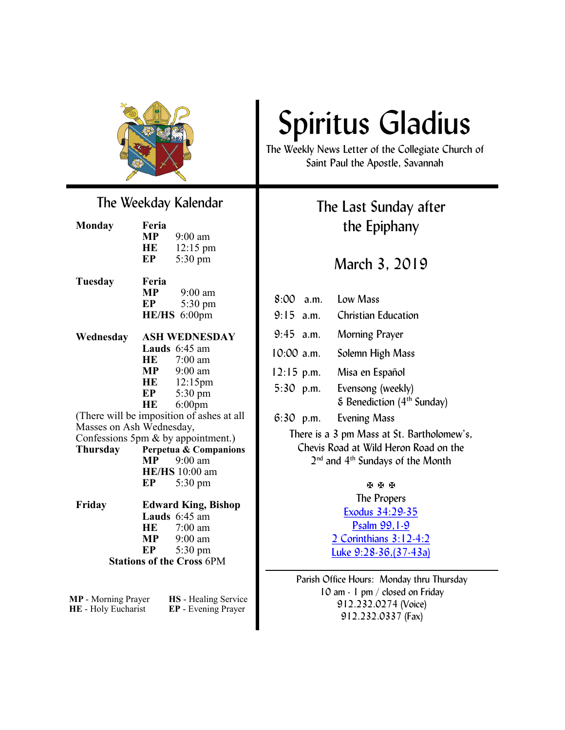

### The Weekday Kalendar

| Monday  | Feria<br>МP<br>HE<br>EP | $9:00$ am<br>$12:15 \text{ pm}$<br>$5:30 \text{ pm}$ |
|---------|-------------------------|------------------------------------------------------|
| Tuesday | Feria                   | 9.00 am                                              |

| Wednesday | <b>ASH WEDNESDAY</b> |                   |
|-----------|----------------------|-------------------|
|           |                      | HE/HS 6:00pm      |
|           | EP.                  | $5:30 \text{ pm}$ |
|           | .                    | .                 |

#### **Lauds** 6:45 am **HE** 7:00 am **MP** 9:00 am **HE** 12:15pm **EP** 5:30 pm **HE** 6:00pm (There will be imposition of ashes at all

Masses on Ash Wednesday, Confessions 5pm & by appointment.) **Thursday Perpetua & Companions MP** 9:00 am **HE/HS** 10:00 am **EP** 5:30 pm

**Friday Edward King, Bishop Lauds** 6:45 am **HE** 7:00 am<br>**MP** 9:00 am **MP** 9:00 am **EP** 5:30 pm **Stations of the Cross** 6PM

**HE** - Holy Eucharist **EP** - Evening Prayer

**MP** - Morning Prayer **HS** - Healing Service

# Spiritus Gladius

The Weekly News Letter of the Collegiate Church of Saint Paul the Apostle, Savannah

### The Last Sunday after the Epiphany

### March 3, 2019

8:00 a.m. Low Mass 9:15 a.m. Christian Education 9:45 a.m. Morning Prayer 10:00 a.m. Solemn High Mass 12:15 p.m. Misa en Español 5:30 p.m. Evensong (weekly) & Benediction (4th Sunday) 6:30 p.m. Evening Mass There is a 3 pm Mass at St. Bartholomew's, Chevis Road at Wild Heron Road on the 2<sup>nd</sup> and 4<sup>th</sup> Sundays of the Month 医医医

The Propers [Exodus 34:29-35](http://www.lectionarypage.net/YearC_RCL/Epiphany/CEpiLast_RCL.html) [Psalm 99,1-9](http://www.lectionarypage.net/YearC_RCL/Epiphany/CEpiLast_RCL.html) [2 Corinthians 3:12-4:2](http://www.lectionarypage.net/YearC_RCL/Epiphany/CEpiLast_RCL.html) [Luke 9:28-36,\(37-43a\)](http://www.lectionarypage.net/YearC_RCL/Epiphany/CEpiLast_RCL.html)

Parish Office Hours: Monday thru Thursday 10 am - 1 pm / closed on Friday 912.232.0274 (Voice) 912.232.0337 (Fax)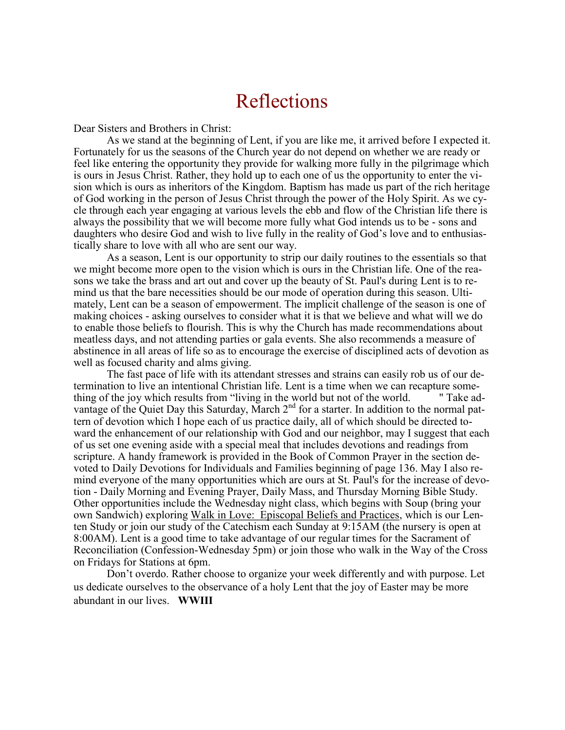### Reflections

Dear Sisters and Brothers in Christ:

As we stand at the beginning of Lent, if you are like me, it arrived before I expected it. Fortunately for us the seasons of the Church year do not depend on whether we are ready or feel like entering the opportunity they provide for walking more fully in the pilgrimage which is ours in Jesus Christ. Rather, they hold up to each one of us the opportunity to enter the vision which is ours as inheritors of the Kingdom. Baptism has made us part of the rich heritage of God working in the person of Jesus Christ through the power of the Holy Spirit. As we cycle through each year engaging at various levels the ebb and flow of the Christian life there is always the possibility that we will become more fully what God intends us to be - sons and daughters who desire God and wish to live fully in the reality of God's love and to enthusiastically share to love with all who are sent our way.

As a season, Lent is our opportunity to strip our daily routines to the essentials so that we might become more open to the vision which is ours in the Christian life. One of the reasons we take the brass and art out and cover up the beauty of St. Paul's during Lent is to remind us that the bare necessities should be our mode of operation during this season. Ultimately, Lent can be a season of empowerment. The implicit challenge of the season is one of making choices - asking ourselves to consider what it is that we believe and what will we do to enable those beliefs to flourish. This is why the Church has made recommendations about meatless days, and not attending parties or gala events. She also recommends a measure of abstinence in all areas of life so as to encourage the exercise of disciplined acts of devotion as well as focused charity and alms giving.

The fast pace of life with its attendant stresses and strains can easily rob us of our determination to live an intentional Christian life. Lent is a time when we can recapture something of the joy which results from "living in the world but not of the world. " Take advantage of the Quiet Day this Saturday, March 2<sup>nd</sup> for a starter. In addition to the normal pattern of devotion which I hope each of us practice daily, all of which should be directed toward the enhancement of our relationship with God and our neighbor, may I suggest that each of us set one evening aside with a special meal that includes devotions and readings from scripture. A handy framework is provided in the Book of Common Prayer in the section devoted to Daily Devotions for Individuals and Families beginning of page 136. May I also remind everyone of the many opportunities which are ours at St. Paul's for the increase of devotion - Daily Morning and Evening Prayer, Daily Mass, and Thursday Morning Bible Study. Other opportunities include the Wednesday night class, which begins with Soup (bring your own Sandwich) exploring Walk in Love: Episcopal Beliefs and Practices, which is our Lenten Study or join our study of the Catechism each Sunday at 9:15AM (the nursery is open at 8:00AM). Lent is a good time to take advantage of our regular times for the Sacrament of Reconciliation (Confession-Wednesday 5pm) or join those who walk in the Way of the Cross on Fridays for Stations at 6pm.

Don't overdo. Rather choose to organize your week differently and with purpose. Let us dedicate ourselves to the observance of a holy Lent that the joy of Easter may be more abundant in our lives. **WWIII**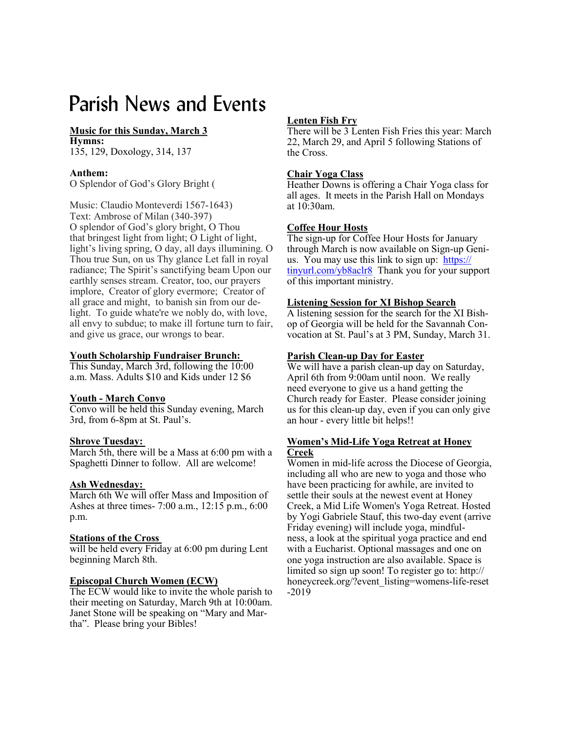## Parish News and Events

#### **Music for this Sunday, March 3 Hymns:**

135, 129, Doxology, 314, 137

#### **Anthem:**

O Splendor of God's Glory Bright (

Music: Claudio Monteverdi 1567-1643) Text: Ambrose of Milan (340-397) O splendor of God's glory bright, O Thou that bringest light from light; O Light of light, light's living spring, O day, all days illumining. O Thou true Sun, on us Thy glance Let fall in royal radiance; The Spirit's sanctifying beam Upon our earthly senses stream. Creator, too, our prayers implore, Creator of glory evermore; Creator of all grace and might, to banish sin from our delight. To guide whate're we nobly do, with love, all envy to subdue; to make ill fortune turn to fair, and give us grace, our wrongs to bear.

#### **Youth Scholarship Fundraiser Brunch:**

This Sunday, March 3rd, following the 10:00 a.m. Mass. Adults \$10 and Kids under 12 \$6

#### **Youth - March Convo**

Convo will be held this Sunday evening, March 3rd, from 6-8pm at St. Paul's.

#### **Shrove Tuesday:**

March 5th, there will be a Mass at 6:00 pm with a Spaghetti Dinner to follow. All are welcome!

#### **Ash Wednesday:**

March 6th We will offer Mass and Imposition of Ashes at three times- 7:00 a.m., 12:15 p.m., 6:00 p.m.

#### **Stations of the Cross**

will be held every Friday at 6:00 pm during Lent beginning March 8th.

#### **Episcopal Church Women (ECW)**

The ECW would like to invite the whole parish to their meeting on Saturday, March 9th at 10:00am. Janet Stone will be speaking on "Mary and Martha". Please bring your Bibles!

#### **Lenten Fish Fry**

There will be 3 Lenten Fish Fries this year: March 22, March 29, and April 5 following Stations of the Cross.

#### **Chair Yoga Class**

Heather Downs is offering a Chair Yoga class for all ages. It meets in the Parish Hall on Mondays at 10:30am.

#### **Coffee Hour Hosts**

The sign-up for Coffee Hour Hosts for January through March is now available on Sign-up Genius. You may use this link to sign up: [https://](https://tinyurl.com/yb8aclr8) [tinyurl.com/yb8aclr8](https://tinyurl.com/yb8aclr8) Thank you for your support of this important ministry.

#### **Listening Session for XI Bishop Search**

A listening session for the search for the XI Bishop of Georgia will be held for the Savannah Convocation at St. Paul's at 3 PM, Sunday, March 31.

#### **Parish Clean-up Day for Easter**

We will have a parish clean-up day on Saturday, April 6th from 9:00am until noon. We really need everyone to give us a hand getting the Church ready for Easter. Please consider joining us for this clean-up day, even if you can only give an hour - every little bit helps!!

#### **Women's Mid-Life Yoga Retreat at Honey Creek**

Women in mid-life across the Diocese of Georgia, including all who are new to yoga and those who have been practicing for awhile, are invited to settle their souls at the newest event at Honey Creek, a Mid Life Women's Yoga Retreat. Hosted by Yogi Gabriele Stauf, this two-day event (arrive Friday evening) will include yoga, mindfulness, a look at the spiritual yoga practice and end with a Eucharist. Optional massages and one on one yoga instruction are also available. Space is limited so sign up soon! To register go to: http:// honeycreek.org/?event\_listing=womens-life-reset -2019